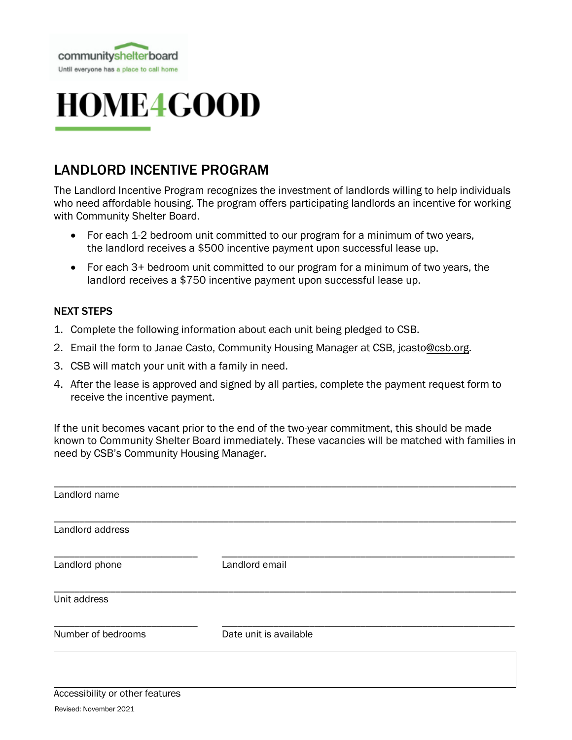

# **HOME4GOOD**

### LANDLORD INCENTIVE PROGRAM

The Landlord Incentive Program recognizes the investment of landlords willing to help individuals who need affordable housing. The program offers participating landlords an incentive for working with Community Shelter Board.

- For each 1-2 bedroom unit committed to our program for a minimum of two years, the landlord receives a \$500 incentive payment upon successful lease up.
- For each 3+ bedroom unit committed to our program for a minimum of two years, the landlord receives a \$750 incentive payment upon successful lease up.

#### NEXT STEPS

- 1. Complete the following information about each unit being pledged to CSB.
- 2. Email the form to Janae Casto, Community Housing Manager at CSB, jcasto@csb.org.
- 3. CSB will match your unit with a family in need.
- 4. After the lease is approved and signed by all parties, complete the payment request form to receive the incentive payment.

If the unit becomes vacant prior to the end of the two-year commitment, this should be made known to Community Shelter Board immediately. These vacancies will be matched with families in need by CSB's Community Housing Manager.

| Landlord name      |                        |  |
|--------------------|------------------------|--|
| Landlord address   |                        |  |
| Landlord phone     | Landlord email         |  |
| Unit address       |                        |  |
| Number of bedrooms | Date unit is available |  |
|                    |                        |  |

#### Accessibility or other features